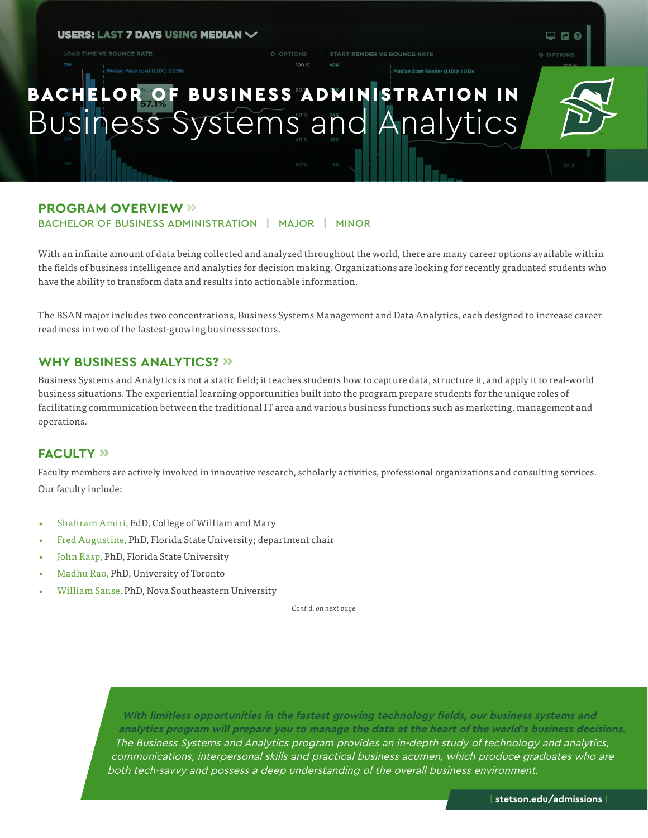#### **USERS: LAST 7 DAYS USING MEDIAN \***

**LOAD TIME VS BOUNCE RATE** 

**START RENDER VS BOUNCE RATE** 

dian Start Render (LUX): 1.031s

# BACHELOR OF BUSINESS ADMINISTRATION IN Business Systems and Analytics

O OPTIONS

### **PROGRAM OVERVIEW »**

BACHELOR OF BUSINESS ADMINISTRATION | MAJOR | MINOR

With an infinite amount of data being collected and analyzed throughout the world, there are many career options available within the fields of business intelligence and analytics for decision making. Organizations are looking for recently graduated students who have the ability to transform data and results into actionable information.

The BSAN major includes two concentrations, Business Systems Management and Data Analytics, each designed to increase career readiness in two of the fastest-growing business sectors.

#### **WHY BUSINESS ANALYTICS? »**

Business Systems and Analytics is not a static field; it teaches students how to capture data, structure it, and apply it to real-world business situations. The experiential learning opportunities built into the program prepare students for the unique roles of facilitating communication between the traditional IT area and various business functions such as marketing, management and operations.

#### **FACULTY »**

Faculty members are actively involved in innovative research, scholarly activities, professional organizations and consulting services. Our faculty include:

- Shahram Amiri, EdD, College of William and Mary
- Fred Augustine, PhD, Florida State University; department chair
- John Rasp, PhD, Florida State University
- Madhu Rao, PhD, University of Toronto
- William Sause, PhD, Nova Southeastern University

*Cont'd. on next page*

**With limitless opportunities in the fastest growing technology fields, our business systems and analytics program will prepare you to manage the data at the heart of the world's business decisions.** The Business Systems and Analytics program provides an in-depth study of technology and analytics, communications, interpersonal skills and practical business acumen, which produce graduates who are both tech-savvy and possess a deep understanding of the overall business environment.